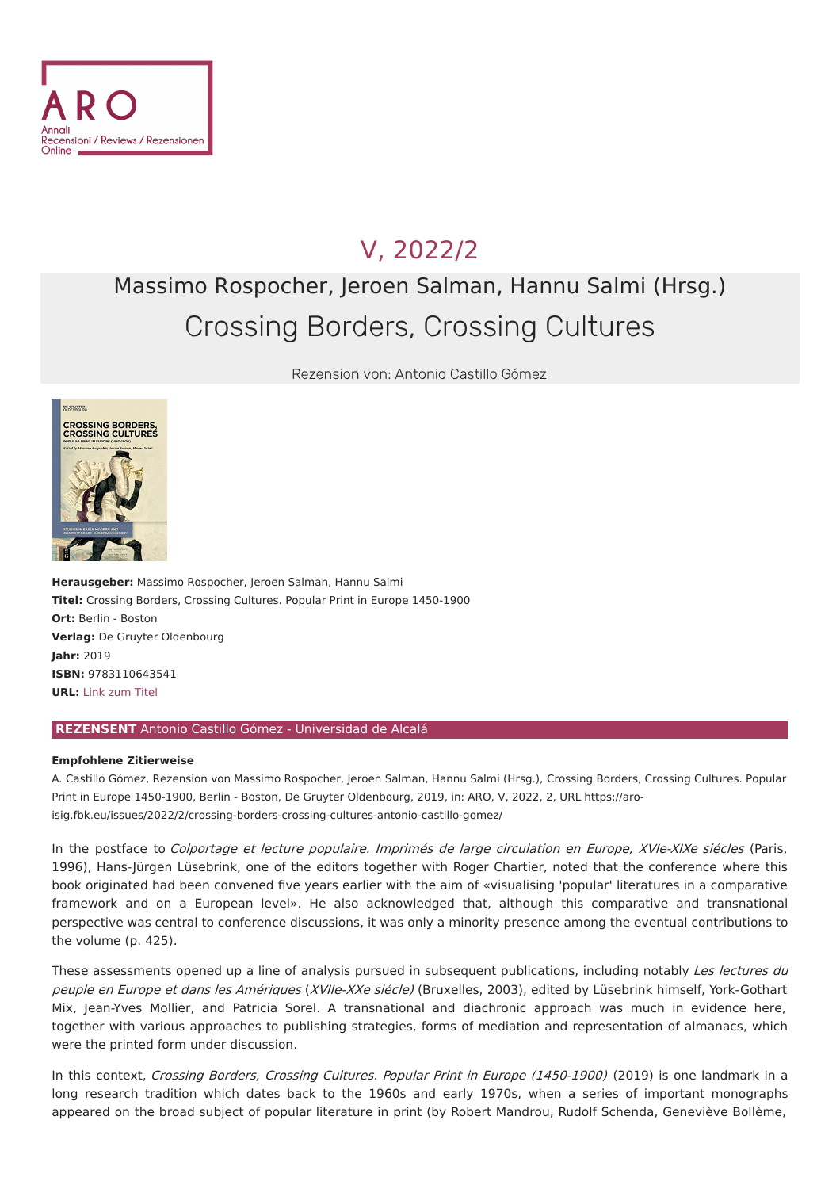

## V, [2022/2](file:///issues/2022/2/)

# Massimo Rospocher, Jeroen Salman, Hannu Salmi (Hrsg.) Crossing Borders, Crossing Cultures

Rezension von: Antonio Castillo Gómez



**Herausgeber:** Massimo Rospocher, Jeroen Salman, Hannu Salmi **Titel:** Crossing Borders, Crossing Cultures. Popular Print in Europe 1450-1900 **Ort:** Berlin - Boston **Verlag:** De Gruyter Oldenbourg **Jahr:** 2019 **ISBN:** 9783110643541 **URL:** Link [zum](https://www.degruyter.com/viewbooktoc/product/518098?rskey=gRzsGL&result=1) Titel

#### **REZENSENT** Antonio Castillo Gómez - Universidad de Alcalá

#### **Empfohlene Zitierweise**

A. Castillo Gómez, Rezension von Massimo Rospocher, Jeroen Salman, Hannu Salmi (Hrsg.), Crossing Borders, Crossing Cultures. Popular Print in Europe 1450-1900, Berlin - Boston, De Gruyter Oldenbourg, 2019, in: ARO, V, 2022, 2, URL https://aro[isig.fbk.eu/issues/2022/2/crossing-borders-crossing-cultures-antonio-castillo-gomez/](https://aro-isig.fbk.eu/issues/2022/2/crossing-borders-crossing-cultures-antonio-castillo-gomez/)

In the postface to Colportage et lecture populaire. Imprimés de large circulation en Europe, XVIe-XIXe siécles (Paris, 1996), Hans-Jürgen Lüsebrink, one of the editors together with Roger Chartier, noted that the conference where this book originated had been convened five years earlier with the aim of «visualising 'popular' literatures in a comparative framework and on a European level». He also acknowledged that, although this comparative and transnational perspective was central to conference discussions, it was only a minority presence among the eventual contributions to the volume (p. 425).

These assessments opened up a line of analysis pursued in subsequent publications, including notably Les lectures du peuple en Europe et dans les Amériques (XVIIe-XXe siécle) (Bruxelles, 2003), edited by Lüsebrink himself, York-Gothart Mix, Jean-Yves Mollier, and Patricia Sorel. A transnational and diachronic approach was much in evidence here, together with various approaches to publishing strategies, forms of mediation and representation of almanacs, which were the printed form under discussion.

In this context, Crossing Borders, Crossing Cultures. Popular Print in Europe (1450-1900) (2019) is one landmark in a long research tradition which dates back to the 1960s and early 1970s, when a series of important monographs appeared on the broad subject of popular literature in print (by Robert Mandrou, Rudolf Schenda, Geneviève Bollème,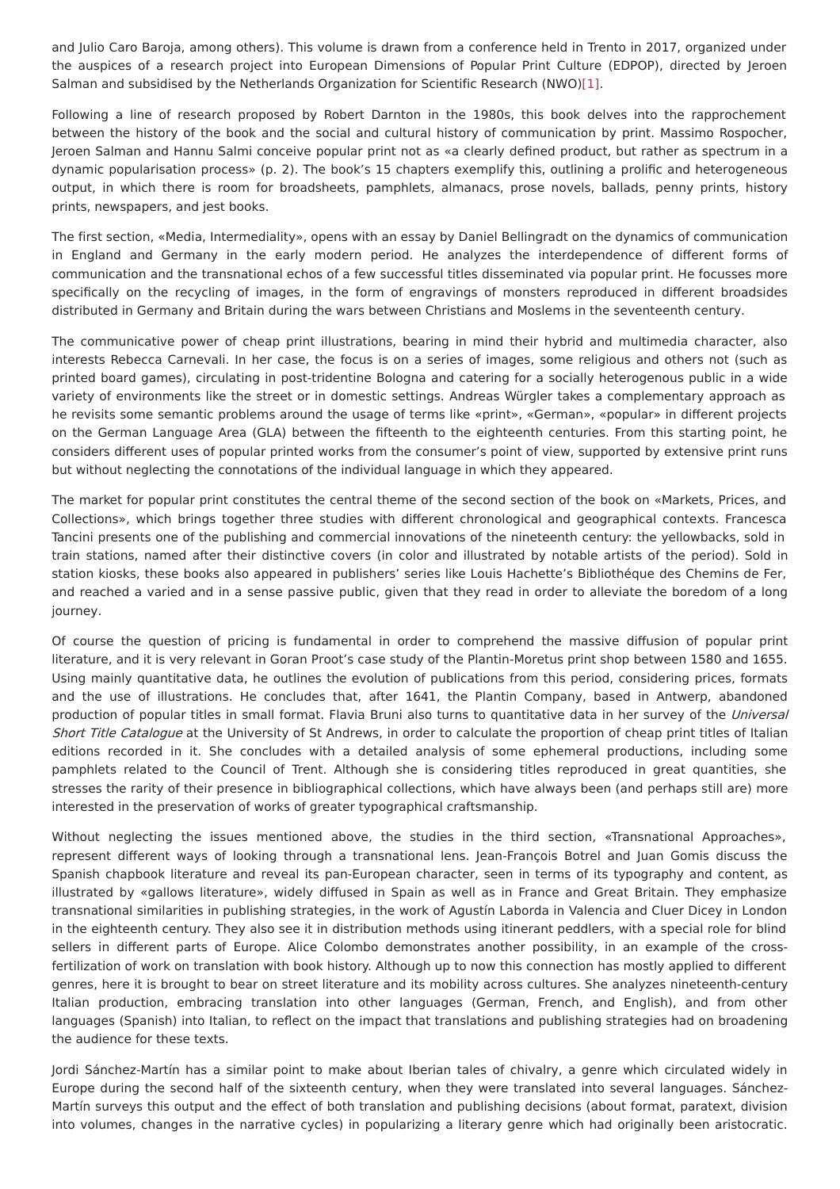and Julio Caro Baroja, among others). This volume is drawn from a conference held in Trento in 2017, organized under the auspices of a research project into European Dimensions of Popular Print Culture (EDPOP), directed by Jeroen Salman and subsidised by the Netherlands Organization for Scientific Research (NWO[\)\[1\]](#page-3-0).

<span id="page-1-0"></span>Following a line of research proposed by Robert Darnton in the 1980s, this book delves into the rapprochement between the history of the book and the social and cultural history of communication by print. Massimo Rospocher, Jeroen Salman and Hannu Salmi conceive popular print not as «a clearly defined product, but rather as spectrum in a dynamic popularisation process» (p. 2). The book's 15 chapters exemplify this, outlining a prolific and heterogeneous output, in which there is room for broadsheets, pamphlets, almanacs, prose novels, ballads, penny prints, history prints, newspapers, and jest books.

The first section, «Media, Intermediality», opens with an essay by Daniel Bellingradt on the dynamics of communication in England and Germany in the early modern period. He analyzes the interdependence of different forms of communication and the transnational echos of a few successful titles disseminated via popular print. He focusses more specifically on the recycling of images, in the form of engravings of monsters reproduced in different broadsides distributed in Germany and Britain during the wars between Christians and Moslems in the seventeenth century.

The communicative power of cheap print illustrations, bearing in mind their hybrid and multimedia character, also interests Rebecca Carnevali. In her case, the focus is on a series of images, some religious and others not (such as printed board games), circulating in post-tridentine Bologna and catering for a socially heterogenous public in a wide variety of environments like the street or in domestic settings. Andreas Würgler takes a complementary approach as he revisits some semantic problems around the usage of terms like «print», «German», «popular» in different projects on the German Language Area (GLA) between the fifteenth to the eighteenth centuries. From this starting point, he considers different uses of popular printed works from the consumer's point of view, supported by extensive print runs but without neglecting the connotations of the individual language in which they appeared.

The market for popular print constitutes the central theme of the second section of the book on «Markets, Prices, and Collections», which brings together three studies with different chronological and geographical contexts. Francesca Tancini presents one of the publishing and commercial innovations of the nineteenth century: the yellowbacks, sold in train stations, named after their distinctive covers (in color and illustrated by notable artists of the period). Sold in station kiosks, these books also appeared in publishers' series like Louis Hachette's Bibliothéque des Chemins de Fer, and reached a varied and in a sense passive public, given that they read in order to alleviate the boredom of a long journey.

Of course the question of pricing is fundamental in order to comprehend the massive diffusion of popular print literature, and it is very relevant in Goran Proot's case study of the Plantin-Moretus print shop between 1580 and 1655. Using mainly quantitative data, he outlines the evolution of publications from this period, considering prices, formats and the use of illustrations. He concludes that, after 1641, the Plantin Company, based in Antwerp, abandoned production of popular titles in small format. Flavia Bruni also turns to quantitative data in her survey of the Universal Short Title Catalogue at the University of St Andrews, in order to calculate the proportion of cheap print titles of Italian editions recorded in it. She concludes with a detailed analysis of some ephemeral productions, including some pamphlets related to the Council of Trent. Although she is considering titles reproduced in great quantities, she stresses the rarity of their presence in bibliographical collections, which have always been (and perhaps still are) more interested in the preservation of works of greater typographical craftsmanship.

Without neglecting the issues mentioned above, the studies in the third section, «Transnational Approaches», represent different ways of looking through a transnational lens. Jean-François Botrel and Juan Gomis discuss the Spanish chapbook literature and reveal its pan-European character, seen in terms of its typography and content, as illustrated by «gallows literature», widely diffused in Spain as well as in France and Great Britain. They emphasize transnational similarities in publishing strategies, in the work of Agustín Laborda in Valencia and Cluer Dicey in London in the eighteenth century. They also see it in distribution methods using itinerant peddlers, with a special role for blind sellers in different parts of Europe. Alice Colombo demonstrates another possibility, in an example of the crossfertilization of work on translation with book history. Although up to now this connection has mostly applied to different genres, here it is brought to bear on street literature and its mobility across cultures. She analyzes nineteenth-century Italian production, embracing translation into other languages (German, French, and English), and from other languages (Spanish) into Italian, to reflect on the impact that translations and publishing strategies had on broadening the audience for these texts.

Jordi Sánchez-Martín has a similar point to make about Iberian tales of chivalry, a genre which circulated widely in Europe during the second half of the sixteenth century, when they were translated into several languages. Sánchez-Martín surveys this output and the effect of both translation and publishing decisions (about format, paratext, division into volumes, changes in the narrative cycles) in popularizing a literary genre which had originally been aristocratic.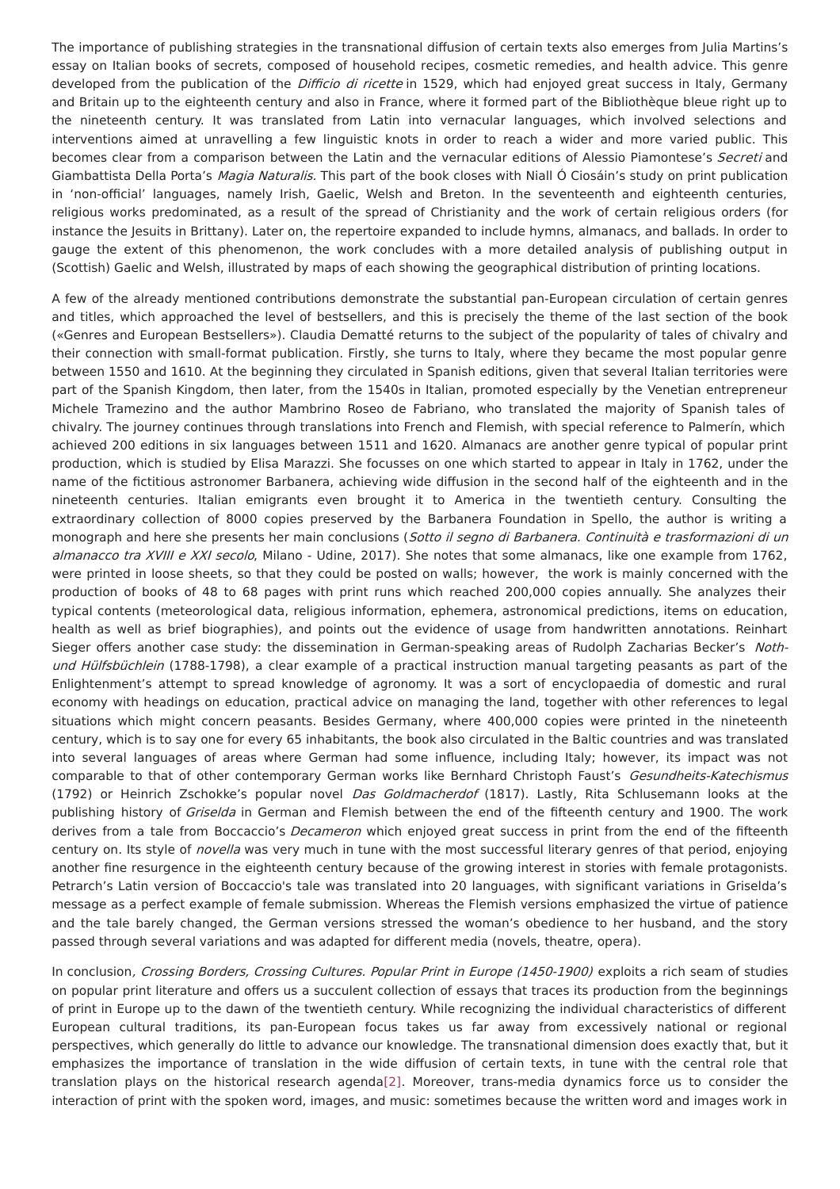The importance of publishing strategies in the transnational diffusion of certain texts also emerges from Julia Martins's essay on Italian books of secrets, composed of household recipes, cosmetic remedies, and health advice. This genre developed from the publication of the Difficio di ricette in 1529, which had enjoyed great success in Italy, Germany and Britain up to the eighteenth century and also in France, where it formed part of the Bibliothèque bleue right up to the nineteenth century. It was translated from Latin into vernacular languages, which involved selections and interventions aimed at unravelling a few linguistic knots in order to reach a wider and more varied public. This becomes clear from a comparison between the Latin and the vernacular editions of Alessio Piamontese's Secreti and Giambattista Della Porta's Magia Naturalis. This part of the book closes with Niall Ó Ciosáin's study on print publication in 'non-official' languages, namely Irish, Gaelic, Welsh and Breton. In the seventeenth and eighteenth centuries, religious works predominated, as a result of the spread of Christianity and the work of certain religious orders (for instance the Jesuits in Brittany). Later on, the repertoire expanded to include hymns, almanacs, and ballads. In order to gauge the extent of this phenomenon, the work concludes with a more detailed analysis of publishing output in (Scottish) Gaelic and Welsh, illustrated by maps of each showing the geographical distribution of printing locations.

A few of the already mentioned contributions demonstrate the substantial pan-European circulation of certain genres and titles, which approached the level of bestsellers, and this is precisely the theme of the last section of the book («Genres and European Bestsellers»). Claudia Dematté returns to the subject of the popularity of tales of chivalry and their connection with small-format publication. Firstly, she turns to Italy, where they became the most popular genre between 1550 and 1610. At the beginning they circulated in Spanish editions, given that several Italian territories were part of the Spanish Kingdom, then later, from the 1540s in Italian, promoted especially by the Venetian entrepreneur Michele Tramezino and the author Mambrino Roseo de Fabriano, who translated the majority of Spanish tales of chivalry. The journey continues through translations into French and Flemish, with special reference to Palmerín, which achieved 200 editions in six languages between 1511 and 1620. Almanacs are another genre typical of popular print production, which is studied by Elisa Marazzi. She focusses on one which started to appear in Italy in 1762, under the name of the fictitious astronomer Barbanera, achieving wide diffusion in the second half of the eighteenth and in the nineteenth centuries. Italian emigrants even brought it to America in the twentieth century. Consulting the extraordinary collection of 8000 copies preserved by the Barbanera Foundation in Spello, the author is writing a monograph and here she presents her main conclusions (Sotto il segno di Barbanera. Continuità e trasformazioni di un almanacco tra XVIII e XXI secolo, Milano - Udine, 2017). She notes that some almanacs, like one example from 1762, were printed in loose sheets, so that they could be posted on walls; however, the work is mainly concerned with the production of books of 48 to 68 pages with print runs which reached 200,000 copies annually. She analyzes their typical contents (meteorological data, religious information, ephemera, astronomical predictions, items on education, health as well as brief biographies), and points out the evidence of usage from handwritten annotations. Reinhart Sieger offers another case study: the dissemination in German-speaking areas of Rudolph Zacharias Becker's Nothund Hülfsbüchlein (1788-1798), a clear example of a practical instruction manual targeting peasants as part of the Enlightenment's attempt to spread knowledge of agronomy. It was a sort of encyclopaedia of domestic and rural economy with headings on education, practical advice on managing the land, together with other references to legal situations which might concern peasants. Besides Germany, where 400,000 copies were printed in the nineteenth century, which is to say one for every 65 inhabitants, the book also circulated in the Baltic countries and was translated into several languages of areas where German had some influence, including Italy; however, its impact was not comparable to that of other contemporary German works like Bernhard Christoph Faust's Gesundheits-Katechismus (1792) or Heinrich Zschokke's popular novel Das Goldmacherdof (1817). Lastly, Rita Schlusemann looks at the publishing history of Griselda in German and Flemish between the end of the fifteenth century and 1900. The work derives from a tale from Boccaccio's Decameron which enjoyed great success in print from the end of the fifteenth century on. Its style of novella was very much in tune with the most successful literary genres of that period, enjoying another fine resurgence in the eighteenth century because of the growing interest in stories with female protagonists. Petrarch's Latin version of Boccaccio's tale was translated into 20 languages, with significant variations in Griselda's message as a perfect example of female submission. Whereas the Flemish versions emphasized the virtue of patience and the tale barely changed, the German versions stressed the woman's obedience to her husband, and the story passed through several variations and was adapted for different media (novels, theatre, opera).

<span id="page-2-0"></span>In conclusion, Crossing Borders, Crossing Cultures. Popular Print in Europe (1450-1900) exploits a rich seam of studies on popular print literature and offers us a succulent collection of essays that traces its production from the beginnings of print in Europe up to the dawn of the twentieth century. While recognizing the individual characteristics of different European cultural traditions, its pan-European focus takes us far away from excessively national or regional perspectives, which generally do little to advance our knowledge. The transnational dimension does exactly that, but it emphasizes the importance of translation in the wide diffusion of certain texts, in tune with the central role that translation plays on the historical research agenda[\[2\]](#page-3-1). Moreover, trans-media dynamics force us to consider the interaction of print with the spoken word, images, and music: sometimes because the written word and images work in